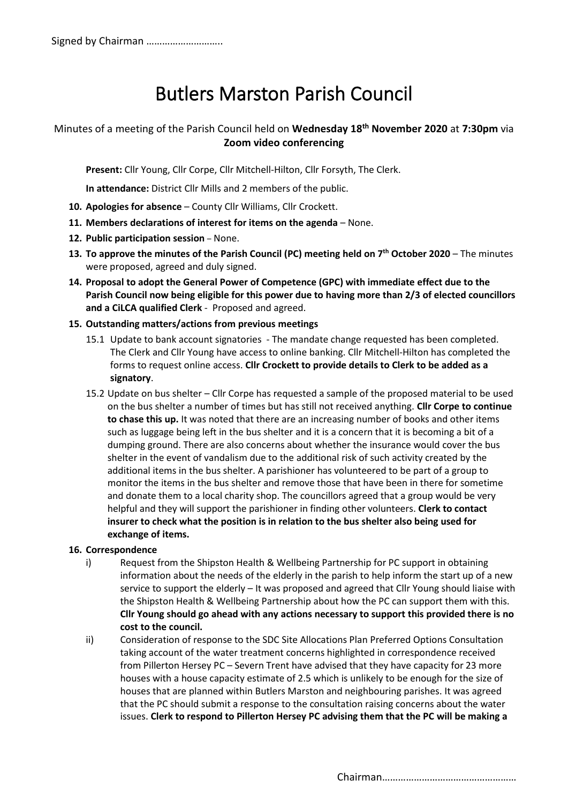# Butlers Marston Parish Council

# Minutes of a meeting of the Parish Council held on **Wednesday 18th November 2020** at **7:30pm** via **Zoom video conferencing**

**Present:** Cllr Young, Cllr Corpe, Cllr Mitchell-Hilton, Cllr Forsyth, The Clerk.

**In attendance:** District Cllr Mills and 2 members of the public.

- **10. Apologies for absence** County Cllr Williams, Cllr Crockett.
- **11. Members declarations of interest for items on the agenda** None.
- **12. Public participation session** None.
- **13. To approve the minutes of the Parish Council (PC) meeting held on 7 th October 2020** The minutes were proposed, agreed and duly signed.
- **14. Proposal to adopt the General Power of Competence (GPC) with immediate effect due to the Parish Council now being eligible for this power due to having more than 2/3 of elected councillors and a CiLCA qualified Clerk** - Proposed and agreed.
- **15. Outstanding matters/actions from previous meetings**
	- 15.1 Update to bank account signatories The mandate change requested has been completed. The Clerk and Cllr Young have access to online banking. Cllr Mitchell-Hilton has completed the forms to request online access. **Cllr Crockett to provide details to Clerk to be added as a signatory**.
	- 15.2 Update on bus shelter Cllr Corpe has requested a sample of the proposed material to be used on the bus shelter a number of times but has still not received anything. **Cllr Corpe to continue to chase this up.** It was noted that there are an increasing number of books and other items such as luggage being left in the bus shelter and it is a concern that it is becoming a bit of a dumping ground. There are also concerns about whether the insurance would cover the bus shelter in the event of vandalism due to the additional risk of such activity created by the additional items in the bus shelter. A parishioner has volunteered to be part of a group to monitor the items in the bus shelter and remove those that have been in there for sometime and donate them to a local charity shop. The councillors agreed that a group would be very helpful and they will support the parishioner in finding other volunteers. **Clerk to contact insurer to check what the position is in relation to the bus shelter also being used for exchange of items.**

#### **16. Correspondence**

- i) Request from the Shipston Health & Wellbeing Partnership for PC support in obtaining information about the needs of the elderly in the parish to help inform the start up of a new service to support the elderly – It was proposed and agreed that Cllr Young should liaise with the Shipston Health & Wellbeing Partnership about how the PC can support them with this. **Cllr Young should go ahead with any actions necessary to support this provided there is no cost to the council.**
- ii) Consideration of response to the SDC Site Allocations Plan Preferred Options Consultation taking account of the water treatment concerns highlighted in correspondence received from Pillerton Hersey PC – Severn Trent have advised that they have capacity for 23 more houses with a house capacity estimate of 2.5 which is unlikely to be enough for the size of houses that are planned within Butlers Marston and neighbouring parishes. It was agreed that the PC should submit a response to the consultation raising concerns about the water issues. **Clerk to respond to Pillerton Hersey PC advising them that the PC will be making a**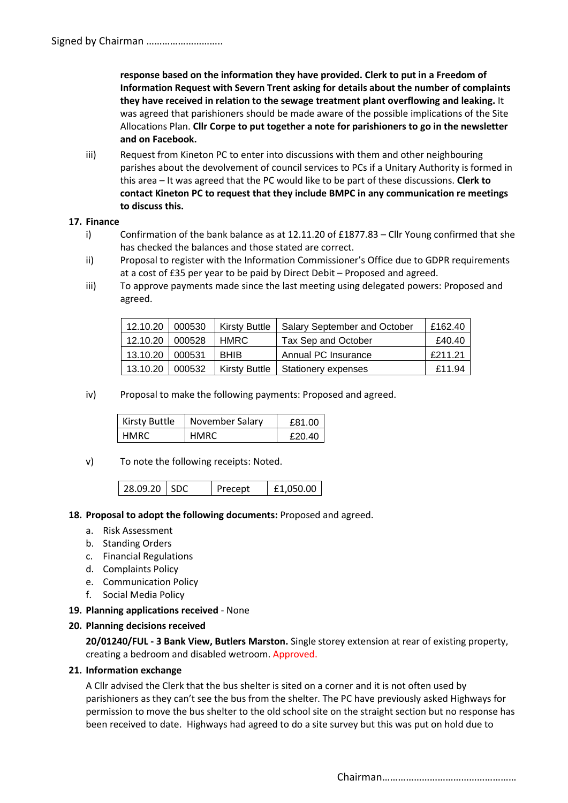**response based on the information they have provided. Clerk to put in a Freedom of Information Request with Severn Trent asking for details about the number of complaints they have received in relation to the sewage treatment plant overflowing and leaking.** It was agreed that parishioners should be made aware of the possible implications of the Site Allocations Plan. **Cllr Corpe to put together a note for parishioners to go in the newsletter and on Facebook.**

iii) Request from Kineton PC to enter into discussions with them and other neighbouring parishes about the devolvement of council services to PCs if a Unitary Authority is formed in this area – It was agreed that the PC would like to be part of these discussions. **Clerk to contact Kineton PC to request that they include BMPC in any communication re meetings to discuss this.**

#### **17. Finance**

- i) Confirmation of the bank balance as at 12.11.20 of £1877.83 Cllr Young confirmed that she has checked the balances and those stated are correct.
- ii) Proposal to register with the Information Commissioner's Office due to GDPR requirements at a cost of £35 per year to be paid by Direct Debit – Proposed and agreed.
- iii) To approve payments made since the last meeting using delegated powers: Proposed and agreed.

| 12.10.20        | 000530 | Kirsty Buttle        | <b>Salary September and October</b> | £162.40 |
|-----------------|--------|----------------------|-------------------------------------|---------|
| 12.10.20 000528 |        | HMRC.                | Tax Sep and October                 | £40.40  |
| 13.10.20 000531 |        | <b>BHIB</b>          | Annual PC Insurance                 | £211.21 |
| 13.10.20        | 000532 | <b>Kirsty Buttle</b> | Stationery expenses                 | £11.94  |

iv) Proposal to make the following payments: Proposed and agreed.

| Kirsty Buttle | November Salary | £81.00 |
|---------------|-----------------|--------|
| I HMRC        | <b>HMRC</b>     | £20.40 |

v) To note the following receipts: Noted.

| £1,050.00  <br>28.09.20 SDC<br>Precept |
|----------------------------------------|
|----------------------------------------|

#### **18. Proposal to adopt the following documents:** Proposed and agreed.

- a. Risk Assessment
- b. Standing Orders
- c. Financial Regulations
- d. Complaints Policy
- e. Communication Policy
- f. Social Media Policy
- **19. Planning applications received** None

#### **20. Planning decisions received**

**20/01240/FUL - 3 Bank View, Butlers Marston.** Single storey extension at rear of existing property, creating a bedroom and disabled wetroom. Approved.

#### **21. Information exchange**

A Cllr advised the Clerk that the bus shelter is sited on a corner and it is not often used by parishioners as they can't see the bus from the shelter. The PC have previously asked Highways for permission to move the bus shelter to the old school site on the straight section but no response has been received to date. Highways had agreed to do a site survey but this was put on hold due to

Chairman……………………………………………